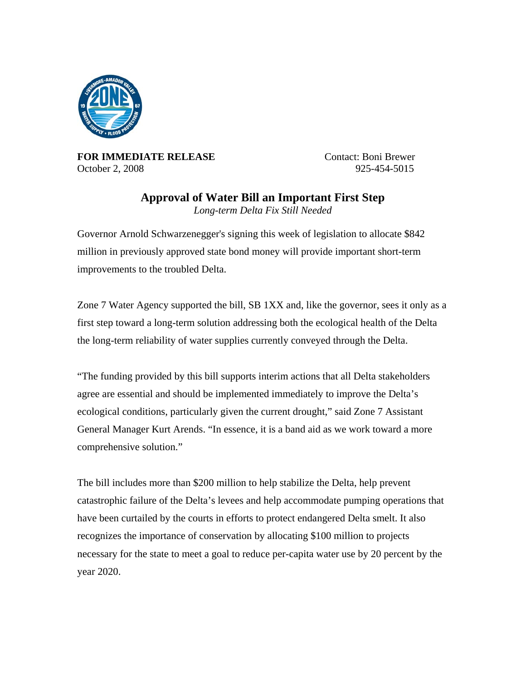

**FOR IMMEDIATE RELEASE** Contact: Boni Brewer October 2, 2008 925-454-5015

## **Approval of Water Bill an Important First Step**

*Long-term Delta Fix Still Needed* 

Governor Arnold Schwarzenegger's signing this week of legislation to allocate \$842 million in previously approved state bond money will provide important short-term improvements to the troubled Delta.

Zone 7 Water Agency supported the bill, SB 1XX and, like the governor, sees it only as a first step toward a long-term solution addressing both the ecological health of the Delta the long-term reliability of water supplies currently conveyed through the Delta.

"The funding provided by this bill supports interim actions that all Delta stakeholders agree are essential and should be implemented immediately to improve the Delta's ecological conditions, particularly given the current drought," said Zone 7 Assistant General Manager Kurt Arends. "In essence, it is a band aid as we work toward a more comprehensive solution."

The bill includes more than \$200 million to help stabilize the Delta, help prevent catastrophic failure of the Delta's levees and help accommodate pumping operations that have been curtailed by the courts in efforts to protect endangered Delta smelt. It also recognizes the importance of conservation by allocating \$100 million to projects necessary for the state to meet a goal to reduce per-capita water use by 20 percent by the year 2020.